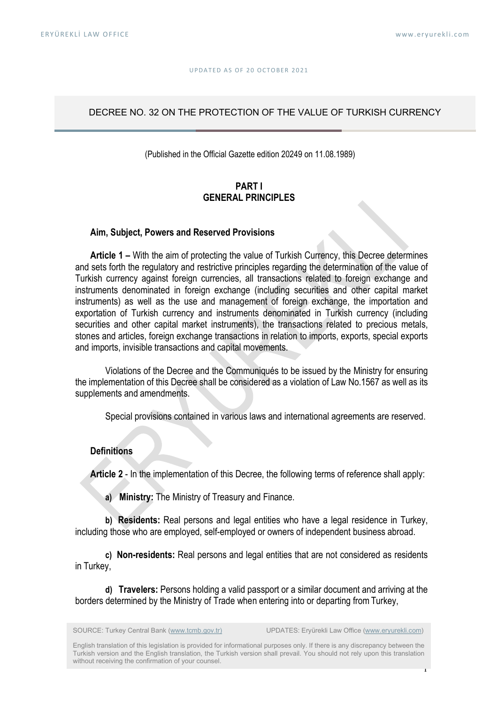#### UP DATED AS OF 20 OCTOBER 2021

#### DECREE NO. 32 ON THE PROTECTION OF THE VALUE OF TURKISH CURRENCY

(Published in the Official Gazette edition 20249 on 11.08.1989)

# PART I GENERAL PRINCIPLES

#### Aim, Subject, Powers and Reserved Provisions

Article 1 – With the aim of protecting the value of Turkish Currency, this Decree determines and sets forth the regulatory and restrictive principles regarding the determination of the value of Turkish currency against foreign currencies, all transactions related to foreign exchange and instruments denominated in foreign exchange (including securities and other capital market instruments) as well as the use and management of foreign exchange, the importation and exportation of Turkish currency and instruments denominated in Turkish currency (including securities and other capital market instruments), the transactions related to precious metals, stones and articles, foreign exchange transactions in relation to imports, exports, special exports and imports, invisible transactions and capital movements.

Violations of the Decree and the Communiqués to be issued by the Ministry for ensuring the implementation of this Decree shall be considered as a violation of Law No.1567 as well as its supplements and amendments.

Special provisions contained in various laws and international agreements are reserved.

#### **Definitions**

Article 2 - In the implementation of this Decree, the following terms of reference shall apply:

a) Ministry: The Ministry of Treasury and Finance.

b) Residents: Real persons and legal entities who have a legal residence in Turkey, including those who are employed, self-employed or owners of independent business abroad.

c) Non-residents: Real persons and legal entities that are not considered as residents in Turkey,

d) Travelers: Persons holding a valid passport or a similar document and arriving at the borders determined by the Ministry of Trade when entering into or departing from Turkey,

1 English translation of this legislation is provided for informational purposes only. If there is any discrepancy between the Turkish version and the English translation, the Turkish version shall prevail. You should not rely upon this translation without receiving the confirmation of your counsel.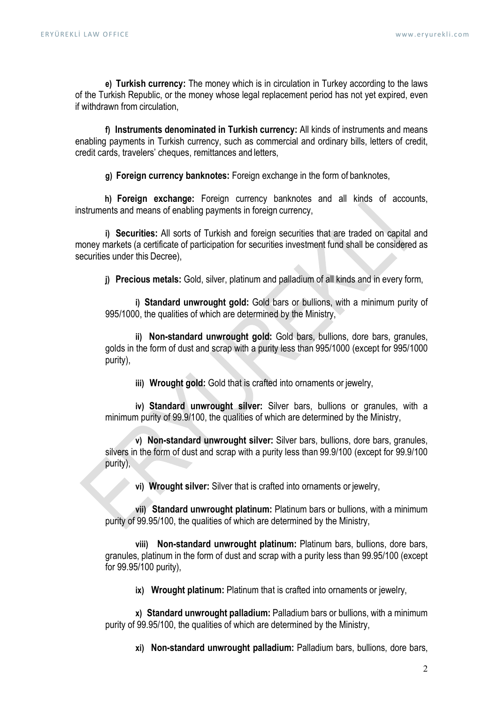e) Turkish currency: The money which is in circulation in Turkey according to the laws of the Turkish Republic, or the money whose legal replacement period has not yet expired, even if withdrawn from circulation,

f) Instruments denominated in Turkish currency: All kinds of instruments and means enabling payments in Turkish currency, such as commercial and ordinary bills, letters of credit, credit cards, travelers' cheques, remittances and letters,

g) Foreign currency banknotes: Foreign exchange in the form of banknotes,

h) **Foreign exchange:** Foreign currency banknotes and all kinds of accounts, instruments and means of enabling payments in foreign currency,

i) Securities: All sorts of Turkish and foreign securities that are traded on capital and money markets (a certificate of participation for securities investment fund shall be considered as securities under this Decree),

j) Precious metals: Gold, silver, platinum and palladium of all kinds and in every form,

i) Standard unwrought gold: Gold bars or bullions, with a minimum purity of 995/1000, the qualities of which are determined by the Ministry,

ii) Non-standard unwrought gold: Gold bars, bullions, dore bars, granules, golds in the form of dust and scrap with a purity less than 995/1000 (except for 995/1000 purity),

iii) Wrought gold: Gold that is crafted into ornaments or jewelry,

iv) Standard unwrought silver: Silver bars, bullions or granules, with a minimum purity of 99.9/100, the qualities of which are determined by the Ministry,

v) Non-standard unwrought silver: Silver bars, bullions, dore bars, granules, silvers in the form of dust and scrap with a purity less than 99.9/100 (except for 99.9/100 purity),

vi) Wrought silver: Silver that is crafted into ornaments or jewelry,

vii) Standard unwrought platinum: Platinum bars or bullions, with a minimum purity of 99.95/100, the qualities of which are determined by the Ministry,

viii) Non-standard unwrought platinum: Platinum bars, bullions, dore bars, granules, platinum in the form of dust and scrap with a purity less than 99.95/100 (except for 99.95/100 purity),

ix) Wrought platinum: Platinum that is crafted into ornaments or jewelry,

x) Standard unwrought palladium: Palladium bars or bullions, with a minimum purity of 99.95/100, the qualities of which are determined by the Ministry,

xi) Non-standard unwrought palladium: Palladium bars, bullions, dore bars,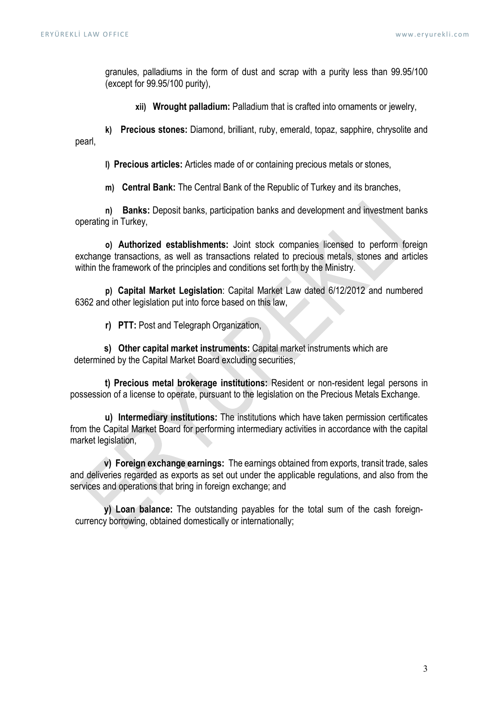granules, palladiums in the form of dust and scrap with a purity less than 99.95/100 (except for 99.95/100 purity),

xii) Wrought palladium: Palladium that is crafted into ornaments or jewelry,

k) Precious stones: Diamond, brilliant, ruby, emerald, topaz, sapphire, chrysolite and pearl,

l) Precious articles: Articles made of or containing precious metals or stones,

m) Central Bank: The Central Bank of the Republic of Turkey and its branches,

n) Banks: Deposit banks, participation banks and development and investment banks operating in Turkey,

o) Authorized establishments: Joint stock companies licensed to perform foreign exchange transactions, as well as transactions related to precious metals, stones and articles within the framework of the principles and conditions set forth by the Ministry.

p) Capital Market Legislation: Capital Market Law dated 6/12/2012 and numbered 6362 and other legislation put into force based on this law,

r) PTT: Post and Telegraph Organization,

s) Other capital market instruments: Capital market instruments which are determined by the Capital Market Board excluding securities,

 t) Precious metal brokerage institutions: Resident or non-resident legal persons in possession of a license to operate, pursuant to the legislation on the Precious Metals Exchange.

 u) Intermediary institutions: The institutions which have taken permission certificates from the Capital Market Board for performing intermediary activities in accordance with the capital market legislation,

v) Foreign exchange earnings: The earnings obtained from exports, transit trade, sales and deliveries regarded as exports as set out under the applicable regulations, and also from the services and operations that bring in foreign exchange; and

y) Loan balance: The outstanding payables for the total sum of the cash foreigncurrency borrowing, obtained domestically or internationally;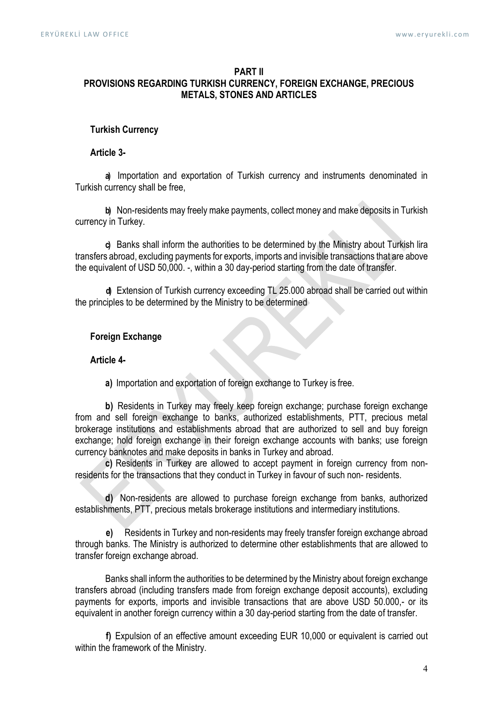# PART II PROVISIONS REGARDING TURKISH CURRENCY, FOREIGN EXCHANGE, PRECIOUS METALS, STONES AND ARTICLES

#### Turkish Currency

# Article 3-

a) Importation and exportation of Turkish currency and instruments denominated in Turkish currency shall be free,

b) Non-residents may freely make payments, collect money and make deposits in Turkish currency in Turkey.

c) Banks shall inform the authorities to be determined by the Ministry about Turkish lira transfers abroad, excluding payments for exports, imports and invisible transactions that are above the equivalent of USD 50,000. -, within a 30 day-period starting from the date of transfer.

d) Extension of Turkish currency exceeding TL 25.000 abroad shall be carried out within the principles to be determined by the Ministry to be determined

# Foreign Exchange

# Article 4-

a) Importation and exportation of foreign exchange to Turkey is free.

b) Residents in Turkey may freely keep foreign exchange; purchase foreign exchange from and sell foreign exchange to banks, authorized establishments, PTT, precious metal brokerage institutions and establishments abroad that are authorized to sell and buy foreign exchange; hold foreign exchange in their foreign exchange accounts with banks; use foreign currency banknotes and make deposits in banks in Turkey and abroad.

c) Residents in Turkey are allowed to accept payment in foreign currency from nonresidents for the transactions that they conduct in Turkey in favour of such non- residents.

d) Non-residents are allowed to purchase foreign exchange from banks, authorized establishments, PTT, precious metals brokerage institutions and intermediary institutions.

e) Residents in Turkey and non-residents may freely transfer foreign exchange abroad through banks. The Ministry is authorized to determine other establishments that are allowed to transfer foreign exchange abroad.

Banks shall inform the authorities to be determined by the Ministry about foreign exchange transfers abroad (including transfers made from foreign exchange deposit accounts), excluding payments for exports, imports and invisible transactions that are above USD 50.000,- or its equivalent in another foreign currency within a 30 day-period starting from the date of transfer.

f) Expulsion of an effective amount exceeding EUR 10,000 or equivalent is carried out within the framework of the Ministry.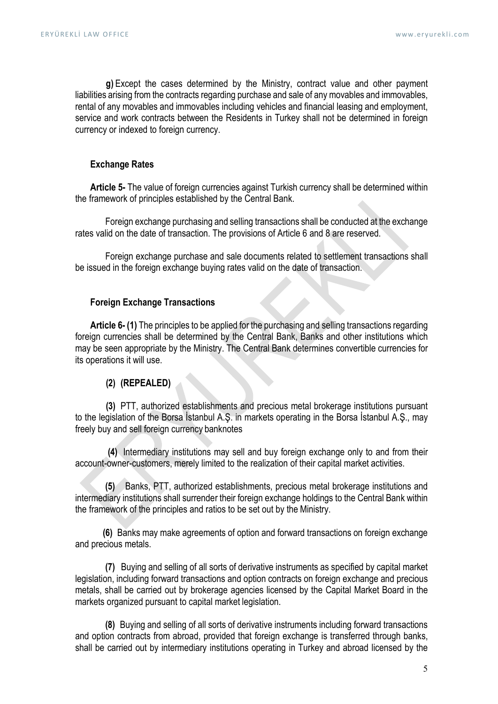g) Except the cases determined by the Ministry, contract value and other payment liabilities arising from the contracts regarding purchase and sale of any movables and immovables, rental of any movables and immovables including vehicles and financial leasing and employment, service and work contracts between the Residents in Turkey shall not be determined in foreign currency or indexed to foreign currency.

# Exchange Rates

Article 5- The value of foreign currencies against Turkish currency shall be determined within the framework of principles established by the Central Bank.

Foreign exchange purchasing and selling transactions shall be conducted at the exchange rates valid on the date of transaction. The provisions of Article 6 and 8 are reserved.

Foreign exchange purchase and sale documents related to settlement transactions shall be issued in the foreign exchange buying rates valid on the date of transaction.

# Foreign Exchange Transactions

Article 6-(1) The principles to be applied for the purchasing and selling transactions regarding foreign currencies shall be determined by the Central Bank, Banks and other institutions which may be seen appropriate by the Ministry. The Central Bank determines convertible currencies for its operations it will use.

#### (2) (REPEALED)

(3) PTT, authorized establishments and precious metal brokerage institutions pursuant to the legislation of the Borsa İstanbul A.Ş. in markets operating in the Borsa İstanbul A.Ş., may freely buy and sell foreign currency banknotes

(4) Intermediary institutions may sell and buy foreign exchange only to and from their account-owner-customers, merely limited to the realization of their capital market activities.

(5) Banks, PTT, authorized establishments, precious metal brokerage institutions and intermediary institutions shall surrender their foreign exchange holdings to the Central Bank within the framework of the principles and ratios to be set out by the Ministry.

(6) Banks may make agreements of option and forward transactions on foreign exchange and precious metals.

(7) Buying and selling of all sorts of derivative instruments as specified by capital market legislation, including forward transactions and option contracts on foreign exchange and precious metals, shall be carried out by brokerage agencies licensed by the Capital Market Board in the markets organized pursuant to capital market legislation.

(8) Buying and selling of all sorts of derivative instruments including forward transactions and option contracts from abroad, provided that foreign exchange is transferred through banks, shall be carried out by intermediary institutions operating in Turkey and abroad licensed by the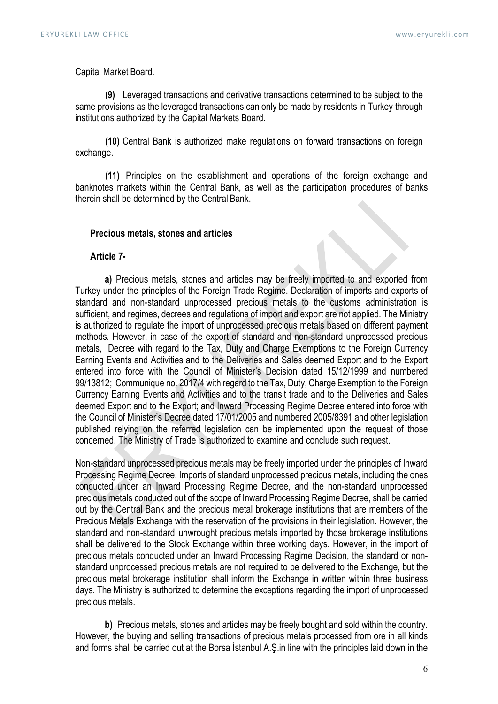Capital Market Board.

(9) Leveraged transactions and derivative transactions determined to be subject to the same provisions as the leveraged transactions can only be made by residents in Turkey through institutions authorized by the Capital Markets Board.

(10) Central Bank is authorized make regulations on forward transactions on foreign exchange.

(11) Principles on the establishment and operations of the foreign exchange and banknotes markets within the Central Bank, as well as the participation procedures of banks therein shall be determined by the Central Bank.

#### Precious metals, stones and articles

#### Article 7-

a) Precious metals, stones and articles may be freely imported to and exported from Turkey under the principles of the Foreign Trade Regime. Declaration of imports and exports of standard and non-standard unprocessed precious metals to the customs administration is sufficient, and regimes, decrees and regulations of import and export are not applied. The Ministry is authorized to regulate the import of unprocessed precious metals based on different payment methods. However, in case of the export of standard and non-standard unprocessed precious metals, Decree with regard to the Tax, Duty and Charge Exemptions to the Foreign Currency Earning Events and Activities and to the Deliveries and Sales deemed Export and to the Export entered into force with the Council of Minister's Decision dated 15/12/1999 and numbered 99/13812; Communique no. 2017/4 with regard to the Tax, Duty, Charge Exemption to the Foreign Currency Earning Events and Activities and to the transit trade and to the Deliveries and Sales deemed Export and to the Export; and Inward Processing Regime Decree entered into force with the Council of Minister's Decree dated 17/01/2005 and numbered 2005/8391 and other legislation published relying on the referred legislation can be implemented upon the request of those concerned. The Ministry of Trade is authorized to examine and conclude such request.

Non-standard unprocessed precious metals may be freely imported under the principles of Inward Processing Regime Decree. Imports of standard unprocessed precious metals, including the ones conducted under an Inward Processing Regime Decree, and the non-standard unprocessed precious metals conducted out of the scope of Inward Processing Regime Decree, shall be carried out by the Central Bank and the precious metal brokerage institutions that are members of the Precious Metals Exchange with the reservation of the provisions in their legislation. However, the standard and non-standard unwrought precious metals imported by those brokerage institutions shall be delivered to the Stock Exchange within three working days. However, in the import of precious metals conducted under an Inward Processing Regime Decision, the standard or nonstandard unprocessed precious metals are not required to be delivered to the Exchange, but the precious metal brokerage institution shall inform the Exchange in written within three business days. The Ministry is authorized to determine the exceptions regarding the import of unprocessed precious metals.

b) Precious metals, stones and articles may be freely bought and sold within the country. However, the buying and selling transactions of precious metals processed from ore in all kinds and forms shall be carried out at the Borsa İstanbul A.Ş.in line with the principles laid down in the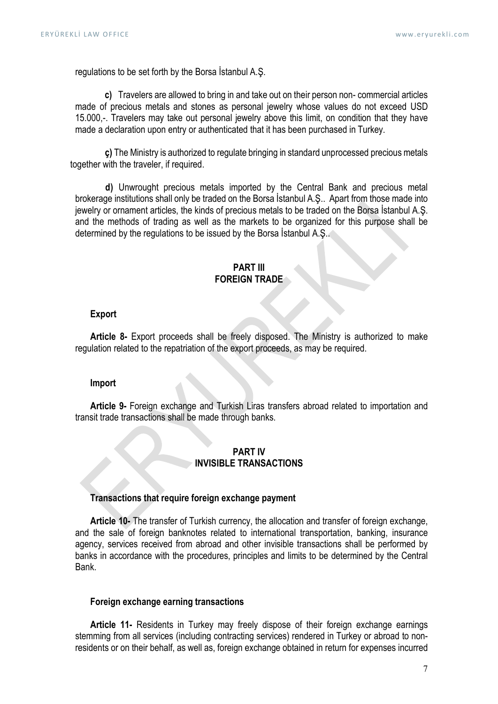regulations to be set forth by the Borsa İstanbul A.Ş.

c) Travelers are allowed to bring in and take out on their person non- commercial articles made of precious metals and stones as personal jewelry whose values do not exceed USD 15.000,-. Travelers may take out personal jewelry above this limit, on condition that they have made a declaration upon entry or authenticated that it has been purchased in Turkey.

 ç) The Ministry is authorized to regulate bringing in standard unprocessed precious metals together with the traveler, if required.

d) Unwrought precious metals imported by the Central Bank and precious metal brokerage institutions shall only be traded on the Borsa İstanbul A.Ş.. Apart from those made into jewelry or ornament articles, the kinds of precious metals to be traded on the Borsa İstanbul A.Ş. and the methods of trading as well as the markets to be organized for this purpose shall be determined by the regulations to be issued by the Borsa İstanbul A.Ş..

#### PART III FOREIGN TRADE

#### Export

Article 8- Export proceeds shall be freely disposed. The Ministry is authorized to make regulation related to the repatriation of the export proceeds, as may be required.

#### Import

Article 9- Foreign exchange and Turkish Liras transfers abroad related to importation and transit trade transactions shall be made through banks.

# PART IV INVISIBLE TRANSACTIONS

# Transactions that require foreign exchange payment

Article 10- The transfer of Turkish currency, the allocation and transfer of foreign exchange, and the sale of foreign banknotes related to international transportation, banking, insurance agency, services received from abroad and other invisible transactions shall be performed by banks in accordance with the procedures, principles and limits to be determined by the Central Bank.

# Foreign exchange earning transactions

Article 11- Residents in Turkey may freely dispose of their foreign exchange earnings stemming from all services (including contracting services) rendered in Turkey or abroad to nonresidents or on their behalf, as well as, foreign exchange obtained in return for expenses incurred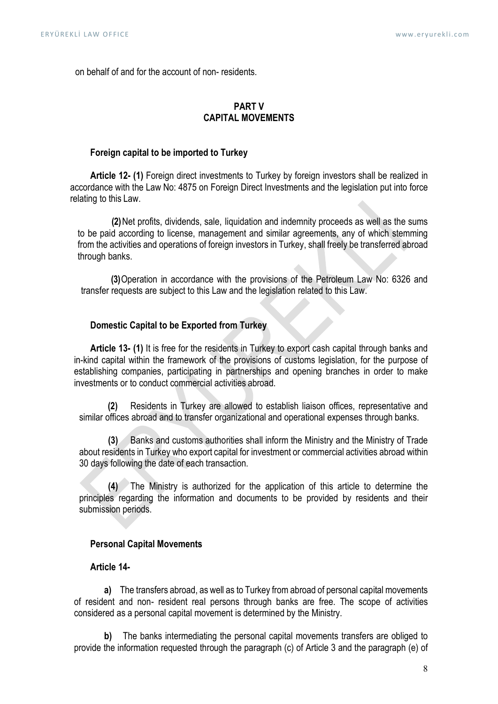on behalf of and for the account of non- residents.

# PART V CAPITAL MOVEMENTS

# Foreign capital to be imported to Turkey

Article 12- (1) Foreign direct investments to Turkey by foreign investors shall be realized in accordance with the Law No: 4875 on Foreign Direct Investments and the legislation put into force relating to this Law.

(2)Net profits, dividends, sale, liquidation and indemnity proceeds as well as the sums to be paid according to license, management and similar agreements, any of which stemming from the activities and operations of foreign investors in Turkey, shall freely be transferred abroad through banks.

(3)Operation in accordance with the provisions of the Petroleum Law No: 6326 and transfer requests are subject to this Law and the legislation related to this Law.

# Domestic Capital to be Exported from Turkey

Article 13- (1) It is free for the residents in Turkey to export cash capital through banks and in-kind capital within the framework of the provisions of customs legislation, for the purpose of establishing companies, participating in partnerships and opening branches in order to make investments or to conduct commercial activities abroad.

(2) Residents in Turkey are allowed to establish liaison offices, representative and similar offices abroad and to transfer organizational and operational expenses through banks.

(3) Banks and customs authorities shall inform the Ministry and the Ministry of Trade about residents in Turkey who export capital for investment or commercial activities abroad within 30 days following the date of each transaction.

(4) The Ministry is authorized for the application of this article to determine the principles regarding the information and documents to be provided by residents and their submission periods.

#### Personal Capital Movements

# Article 14-

a) The transfers abroad, as well as to Turkey from abroad of personal capital movements of resident and non- resident real persons through banks are free. The scope of activities considered as a personal capital movement is determined by the Ministry.

b) The banks intermediating the personal capital movements transfers are obliged to provide the information requested through the paragraph (c) of Article 3 and the paragraph (e) of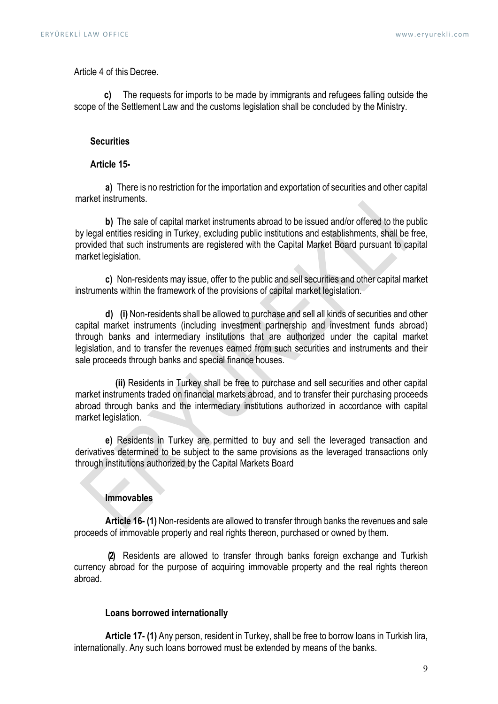Article 4 of this Decree.

c) The requests for imports to be made by immigrants and refugees falling outside the scope of the Settlement Law and the customs legislation shall be concluded by the Ministry.

#### **Securities**

# Article 15-

a) There is no restriction for the importation and exportation of securities and other capital market instruments.

b) The sale of capital market instruments abroad to be issued and/or offered to the public by legal entities residing in Turkey, excluding public institutions and establishments, shall be free, provided that such instruments are registered with the Capital Market Board pursuant to capital market legislation.

c) Non-residents may issue, offer to the public and sell securities and other capital market instruments within the framework of the provisions of capital market legislation.

d) (i) Non-residents shall be allowed to purchase and sell all kinds of securities and other capital market instruments (including investment partnership and investment funds abroad) through banks and intermediary institutions that are authorized under the capital market legislation, and to transfer the revenues earned from such securities and instruments and their sale proceeds through banks and special finance houses.

(ii) Residents in Turkey shall be free to purchase and sell securities and other capital market instruments traded on financial markets abroad, and to transfer their purchasing proceeds abroad through banks and the intermediary institutions authorized in accordance with capital market legislation.

e) Residents in Turkey are permitted to buy and sell the leveraged transaction and derivatives determined to be subject to the same provisions as the leveraged transactions only through institutions authorized by the Capital Markets Board

# Immovables

Article 16- (1) Non-residents are allowed to transfer through banks the revenues and sale proceeds of immovable property and real rights thereon, purchased or owned by them.

(2) Residents are allowed to transfer through banks foreign exchange and Turkish currency abroad for the purpose of acquiring immovable property and the real rights thereon abroad.

#### Loans borrowed internationally

Article 17- (1) Any person, resident in Turkey, shall be free to borrow loans in Turkish lira, internationally. Any such loans borrowed must be extended by means of the banks.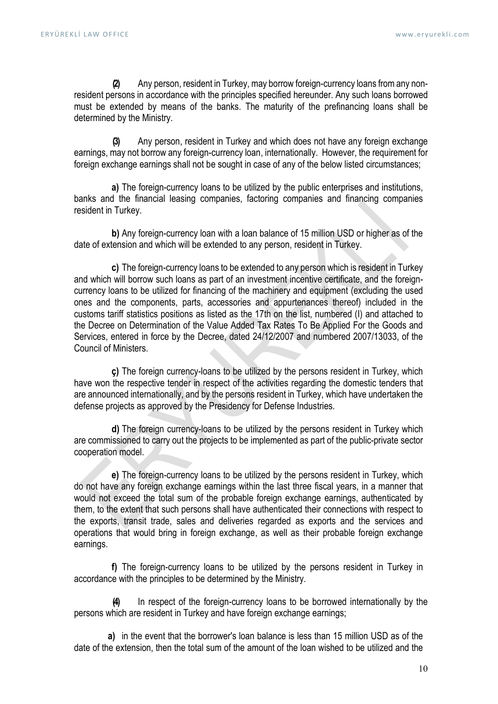(2) Any person, resident in Turkey, may borrow foreign-currency loans from any nonresident persons in accordance with the principles specified hereunder. Any such loans borrowed must be extended by means of the banks. The maturity of the prefinancing loans shall be determined by the Ministry.

(3) Any person, resident in Turkey and which does not have any foreign exchange earnings, may not borrow any foreign-currency loan, internationally. However, the requirement for foreign exchange earnings shall not be sought in case of any of the below listed circumstances;

a) The foreign-currency loans to be utilized by the public enterprises and institutions, banks and the financial leasing companies, factoring companies and financing companies resident in Turkey.

b) Any foreign-currency loan with a loan balance of 15 million USD or higher as of the date of extension and which will be extended to any person, resident in Turkey.

c) The foreign-currency loans to be extended to any person which is resident in Turkey and which will borrow such loans as part of an investment incentive certificate, and the foreigncurrency loans to be utilized for financing of the machinery and equipment (excluding the used ones and the components, parts, accessories and appurtenances thereof) included in the customs tariff statistics positions as listed as the 17th on the list, numbered (I) and attached to the Decree on Determination of the Value Added Tax Rates To Be Applied For the Goods and Services, entered in force by the Decree, dated 24/12/2007 and numbered 2007/13033, of the Council of Ministers.

ç) The foreign currency-loans to be utilized by the persons resident in Turkey, which have won the respective tender in respect of the activities regarding the domestic tenders that are announced internationally, and by the persons resident in Turkey, which have undertaken the defense projects as approved by the Presidency for Defense Industries.

d) The foreign currency-loans to be utilized by the persons resident in Turkey which are commissioned to carry out the projects to be implemented as part of the public-private sector cooperation model.

e) The foreign-currency loans to be utilized by the persons resident in Turkey, which do not have any foreign exchange earnings within the last three fiscal years, in a manner that would not exceed the total sum of the probable foreign exchange earnings, authenticated by them, to the extent that such persons shall have authenticated their connections with respect to the exports, transit trade, sales and deliveries regarded as exports and the services and operations that would bring in foreign exchange, as well as their probable foreign exchange earnings.

f) The foreign-currency loans to be utilized by the persons resident in Turkey in accordance with the principles to be determined by the Ministry.

(4) In respect of the foreign-currency loans to be borrowed internationally by the persons which are resident in Turkey and have foreign exchange earnings;

a) in the event that the borrower's loan balance is less than 15 million USD as of the date of the extension, then the total sum of the amount of the loan wished to be utilized and the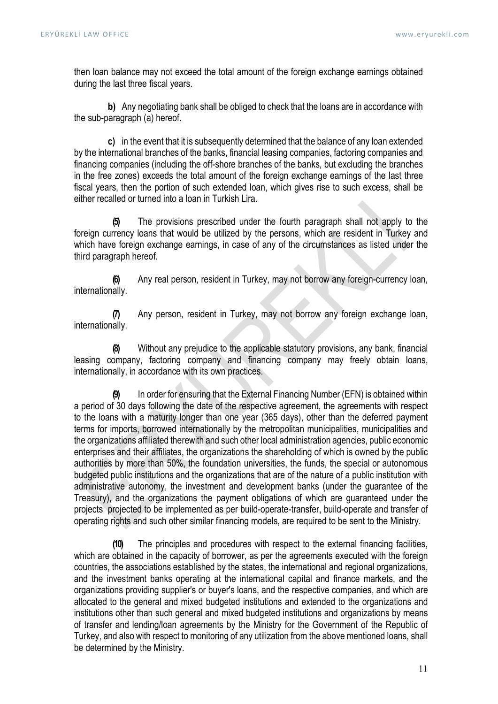then loan balance may not exceed the total amount of the foreign exchange earnings obtained during the last three fiscal years.

b) Any negotiating bank shall be obliged to check that the loans are in accordance with the sub-paragraph (a) hereof.

c) in the event that it is subsequently determined that the balance of any loan extended by the international branches of the banks, financial leasing companies, factoring companies and financing companies (including the off-shore branches of the banks, but excluding the branches in the free zones) exceeds the total amount of the foreign exchange earnings of the last three fiscal years, then the portion of such extended loan, which gives rise to such excess, shall be either recalled or turned into a loan in Turkish Lira.

(5) The provisions prescribed under the fourth paragraph shall not apply to the foreign currency loans that would be utilized by the persons, which are resident in Turkey and which have foreign exchange earnings, in case of any of the circumstances as listed under the third paragraph hereof.

(6) Any real person, resident in Turkey, may not borrow any foreign-currency loan, internationally.

(7) Any person, resident in Turkey, may not borrow any foreign exchange loan, internationally.

(8) Without any prejudice to the applicable statutory provisions, any bank, financial leasing company, factoring company and financing company may freely obtain loans, internationally, in accordance with its own practices.

(9) In order for ensuring that the External Financing Number (EFN) is obtained within a period of 30 days following the date of the respective agreement, the agreements with respect to the loans with a maturity longer than one year (365 days), other than the deferred payment terms for imports, borrowed internationally by the metropolitan municipalities, municipalities and the organizations affiliated therewith and such other local administration agencies, public economic enterprises and their affiliates, the organizations the shareholding of which is owned by the public authorities by more than 50%, the foundation universities, the funds, the special or autonomous budgeted public institutions and the organizations that are of the nature of a public institution with administrative autonomy, the investment and development banks (under the guarantee of the Treasury), and the organizations the payment obligations of which are guaranteed under the projects projected to be implemented as per build-operate-transfer, build-operate and transfer of operating rights and such other similar financing models, are required to be sent to the Ministry.

(10) The principles and procedures with respect to the external financing facilities, which are obtained in the capacity of borrower, as per the agreements executed with the foreign countries, the associations established by the states, the international and regional organizations, and the investment banks operating at the international capital and finance markets, and the organizations providing supplier's or buyer's loans, and the respective companies, and which are allocated to the general and mixed budgeted institutions and extended to the organizations and institutions other than such general and mixed budgeted institutions and organizations by means of transfer and lending/loan agreements by the Ministry for the Government of the Republic of Turkey, and also with respect to monitoring of any utilization from the above mentioned loans, shall be determined by the Ministry.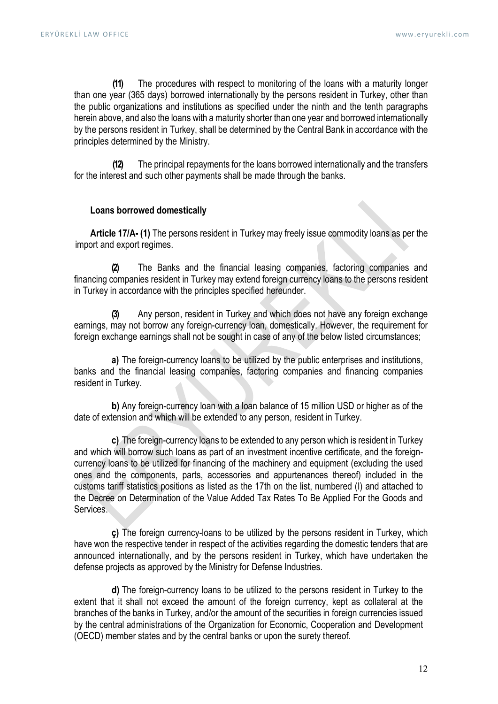(11) The procedures with respect to monitoring of the loans with a maturity longer than one year (365 days) borrowed internationally by the persons resident in Turkey, other than the public organizations and institutions as specified under the ninth and the tenth paragraphs herein above, and also the loans with a maturity shorter than one year and borrowed internationally by the persons resident in Turkey, shall be determined by the Central Bank in accordance with the principles determined by the Ministry.

(12) The principal repayments for the loans borrowed internationally and the transfers for the interest and such other payments shall be made through the banks.

# Loans borrowed domestically

Article 17/A- (1) The persons resident in Turkey may freely issue commodity loans as per the import and export regimes.

(2) The Banks and the financial leasing companies, factoring companies and financing companies resident in Turkey may extend foreign currency loans to the persons resident in Turkey in accordance with the principles specified hereunder.

Any person, resident in Turkey and which does not have any foreign exchange earnings, may not borrow any foreign-currency loan, domestically. However, the requirement for foreign exchange earnings shall not be sought in case of any of the below listed circumstances;

a) The foreign-currency loans to be utilized by the public enterprises and institutions, banks and the financial leasing companies, factoring companies and financing companies resident in Turkey.

b) Any foreign-currency loan with a loan balance of 15 million USD or higher as of the date of extension and which will be extended to any person, resident in Turkey.

c) The foreign-currency loans to be extended to any person which is resident in Turkey and which will borrow such loans as part of an investment incentive certificate, and the foreigncurrency loans to be utilized for financing of the machinery and equipment (excluding the used ones and the components, parts, accessories and appurtenances thereof) included in the customs tariff statistics positions as listed as the 17th on the list, numbered (I) and attached to the Decree on Determination of the Value Added Tax Rates To Be Applied For the Goods and Services.

ç) The foreign currency-loans to be utilized by the persons resident in Turkey, which have won the respective tender in respect of the activities regarding the domestic tenders that are announced internationally, and by the persons resident in Turkey, which have undertaken the defense projects as approved by the Ministry for Defense Industries.

d) The foreign-currency loans to be utilized to the persons resident in Turkey to the extent that it shall not exceed the amount of the foreign currency, kept as collateral at the branches of the banks in Turkey, and/or the amount of the securities in foreign currencies issued by the central administrations of the Organization for Economic, Cooperation and Development (OECD) member states and by the central banks or upon the surety thereof.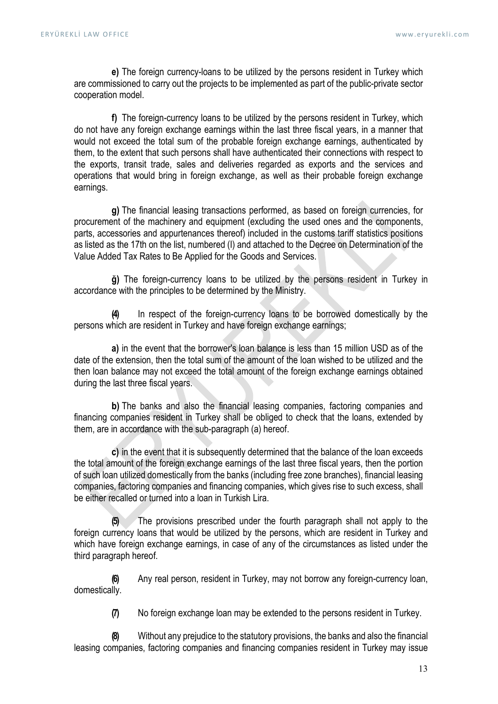e) The foreign currency-loans to be utilized by the persons resident in Turkey which are commissioned to carry out the projects to be implemented as part of the public-private sector cooperation model.

f) The foreign-currency loans to be utilized by the persons resident in Turkey, which do not have any foreign exchange earnings within the last three fiscal years, in a manner that would not exceed the total sum of the probable foreign exchange earnings, authenticated by them, to the extent that such persons shall have authenticated their connections with respect to the exports, transit trade, sales and deliveries regarded as exports and the services and operations that would bring in foreign exchange, as well as their probable foreign exchange earnings.

g) The financial leasing transactions performed, as based on foreign currencies, for procurement of the machinery and equipment (excluding the used ones and the components, parts, accessories and appurtenances thereof) included in the customs tariff statistics positions as listed as the 17th on the list, numbered (I) and attached to the Decree on Determination of the Value Added Tax Rates to Be Applied for the Goods and Services.

ğ) The foreign-currency loans to be utilized by the persons resident in Turkey in accordance with the principles to be determined by the Ministry.

In respect of the foreign-currency loans to be borrowed domestically by the persons which are resident in Turkey and have foreign exchange earnings;

a) in the event that the borrower's loan balance is less than 15 million USD as of the date of the extension, then the total sum of the amount of the loan wished to be utilized and the then loan balance may not exceed the total amount of the foreign exchange earnings obtained during the last three fiscal years.

b) The banks and also the financial leasing companies, factoring companies and financing companies resident in Turkey shall be obliged to check that the loans, extended by them, are in accordance with the sub-paragraph (a) hereof.

c) in the event that it is subsequently determined that the balance of the loan exceeds the total amount of the foreign exchange earnings of the last three fiscal years, then the portion of such loan utilized domestically from the banks (including free zone branches), financial leasing companies, factoring companies and financing companies, which gives rise to such excess, shall be either recalled or turned into a loan in Turkish Lira.

(5) The provisions prescribed under the fourth paragraph shall not apply to the foreign currency loans that would be utilized by the persons, which are resident in Turkey and which have foreign exchange earnings, in case of any of the circumstances as listed under the third paragraph hereof.

(6) Any real person, resident in Turkey, may not borrow any foreign-currency loan, domestically.

(7) No foreign exchange loan may be extended to the persons resident in Turkey.

(8) Without any prejudice to the statutory provisions, the banks and also the financial leasing companies, factoring companies and financing companies resident in Turkey may issue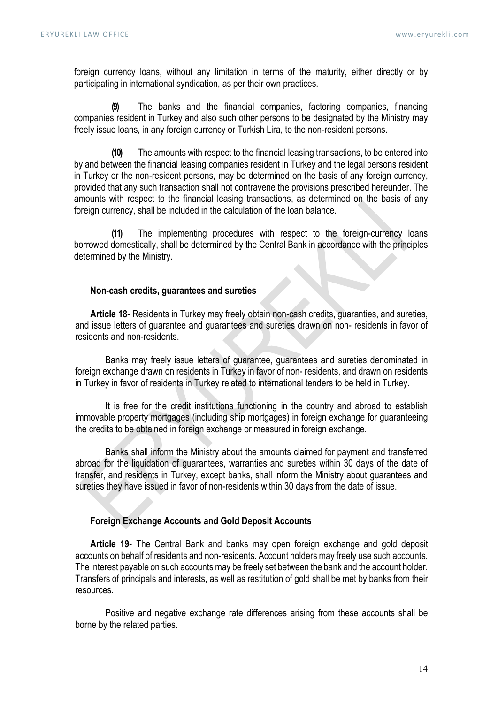foreign currency loans, without any limitation in terms of the maturity, either directly or by participating in international syndication, as per their own practices.

The banks and the financial companies, factoring companies, financing companies resident in Turkey and also such other persons to be designated by the Ministry may freely issue loans, in any foreign currency or Turkish Lira, to the non-resident persons.

(10) The amounts with respect to the financial leasing transactions, to be entered into by and between the financial leasing companies resident in Turkey and the legal persons resident in Turkey or the non-resident persons, may be determined on the basis of any foreign currency, provided that any such transaction shall not contravene the provisions prescribed hereunder. The amounts with respect to the financial leasing transactions, as determined on the basis of any foreign currency, shall be included in the calculation of the loan balance.

(11) The implementing procedures with respect to the foreign-currency loans borrowed domestically, shall be determined by the Central Bank in accordance with the principles determined by the Ministry.

#### Non-cash credits, guarantees and sureties

Article 18- Residents in Turkey may freely obtain non-cash credits, quaranties, and sureties, and issue letters of guarantee and guarantees and sureties drawn on non- residents in favor of residents and non-residents.

Banks may freely issue letters of guarantee, guarantees and sureties denominated in foreign exchange drawn on residents in Turkey in favor of non- residents, and drawn on residents in Turkey in favor of residents in Turkey related to international tenders to be held in Turkey.

It is free for the credit institutions functioning in the country and abroad to establish immovable property mortgages (including ship mortgages) in foreign exchange for guaranteeing the credits to be obtained in foreign exchange or measured in foreign exchange.

Banks shall inform the Ministry about the amounts claimed for payment and transferred abroad for the liquidation of guarantees, warranties and sureties within 30 days of the date of transfer, and residents in Turkey, except banks, shall inform the Ministry about guarantees and sureties they have issued in favor of non-residents within 30 days from the date of issue.

#### Foreign Exchange Accounts and Gold Deposit Accounts

Article 19- The Central Bank and banks may open foreign exchange and gold deposit accounts on behalf of residents and non-residents. Account holders may freely use such accounts. The interest payable on such accounts may be freely set between the bank and the account holder. Transfers of principals and interests, as well as restitution of gold shall be met by banks from their resources.

Positive and negative exchange rate differences arising from these accounts shall be borne by the related parties.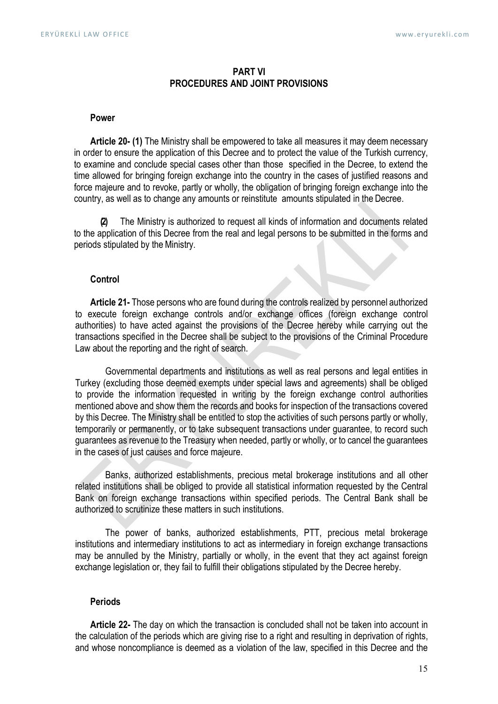# PART VI PROCEDURES AND JOINT PROVISIONS

#### Power

Article 20- (1) The Ministry shall be empowered to take all measures it may deem necessary in order to ensure the application of this Decree and to protect the value of the Turkish currency, to examine and conclude special cases other than those specified in the Decree, to extend the time allowed for bringing foreign exchange into the country in the cases of justified reasons and force majeure and to revoke, partly or wholly, the obligation of bringing foreign exchange into the country, as well as to change any amounts or reinstitute amounts stipulated in the Decree.

(2) The Ministry is authorized to request all kinds of information and documents related to the application of this Decree from the real and legal persons to be submitted in the forms and periods stipulated by the Ministry.

# **Control**

Article 21- Those persons who are found during the controls realized by personnel authorized to execute foreign exchange controls and/or exchange offices (foreign exchange control authorities) to have acted against the provisions of the Decree hereby while carrying out the transactions specified in the Decree shall be subject to the provisions of the Criminal Procedure Law about the reporting and the right of search.

Governmental departments and institutions as well as real persons and legal entities in Turkey (excluding those deemed exempts under special laws and agreements) shall be obliged to provide the information requested in writing by the foreign exchange control authorities mentioned above and show them the records and books for inspection of the transactions covered by this Decree. The Ministry shall be entitled to stop the activities of such persons partly or wholly, temporarily or permanently, or to take subsequent transactions under guarantee, to record such guarantees as revenue to the Treasury when needed, partly or wholly, or to cancel the guarantees in the cases of just causes and force majeure.

Banks, authorized establishments, precious metal brokerage institutions and all other related institutions shall be obliged to provide all statistical information requested by the Central Bank on foreign exchange transactions within specified periods. The Central Bank shall be authorized to scrutinize these matters in such institutions.

The power of banks, authorized establishments, PTT, precious metal brokerage institutions and intermediary institutions to act as intermediary in foreign exchange transactions may be annulled by the Ministry, partially or wholly, in the event that they act against foreign exchange legislation or, they fail to fulfill their obligations stipulated by the Decree hereby.

#### Periods

Article 22- The day on which the transaction is concluded shall not be taken into account in the calculation of the periods which are giving rise to a right and resulting in deprivation of rights, and whose noncompliance is deemed as a violation of the law, specified in this Decree and the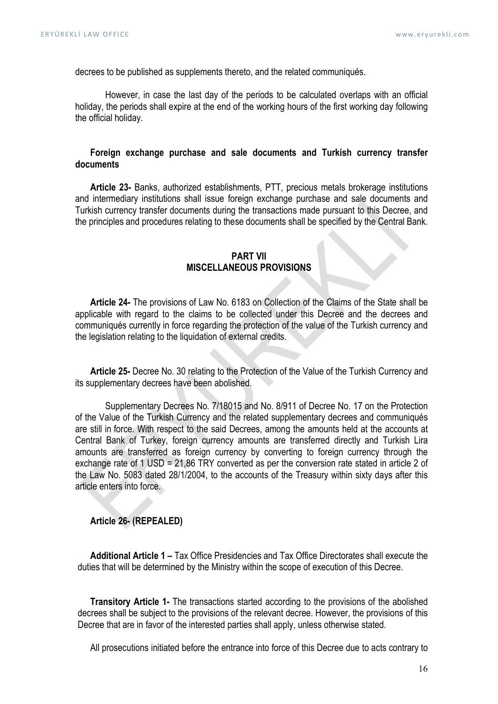decrees to be published as supplements thereto, and the related communiqués.

However, in case the last day of the periods to be calculated overlaps with an official holiday, the periods shall expire at the end of the working hours of the first working day following the official holiday.

# Foreign exchange purchase and sale documents and Turkish currency transfer documents

Article 23- Banks, authorized establishments, PTT, precious metals brokerage institutions and intermediary institutions shall issue foreign exchange purchase and sale documents and Turkish currency transfer documents during the transactions made pursuant to this Decree, and the principles and procedures relating to these documents shall be specified by the Central Bank.

# PART VII MISCELLANEOUS PROVISIONS

Article 24- The provisions of Law No. 6183 on Collection of the Claims of the State shall be applicable with regard to the claims to be collected under this Decree and the decrees and communiqués currently in force regarding the protection of the value of the Turkish currency and the legislation relating to the liquidation of external credits.

Article 25- Decree No. 30 relating to the Protection of the Value of the Turkish Currency and its supplementary decrees have been abolished.

Supplementary Decrees No. 7/18015 and No. 8/911 of Decree No. 17 on the Protection of the Value of the Turkish Currency and the related supplementary decrees and communiqués are still in force. With respect to the said Decrees, among the amounts held at the accounts at Central Bank of Turkey, foreign currency amounts are transferred directly and Turkish Lira amounts are transferred as foreign currency by converting to foreign currency through the exchange rate of 1 USD = 21,86 TRY converted as per the conversion rate stated in article 2 of the Law No. 5083 dated 28/1/2004, to the accounts of the Treasury within sixty days after this article enters into force.

# Article 26- (REPEALED)

Additional Article 1 – Tax Office Presidencies and Tax Office Directorates shall execute the duties that will be determined by the Ministry within the scope of execution of this Decree.

Transitory Article 1- The transactions started according to the provisions of the abolished decrees shall be subject to the provisions of the relevant decree. However, the provisions of this Decree that are in favor of the interested parties shall apply, unless otherwise stated.

All prosecutions initiated before the entrance into force of this Decree due to acts contrary to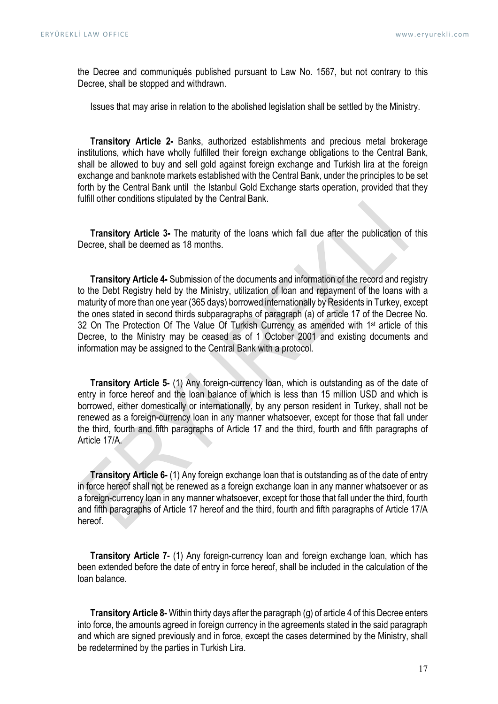the Decree and communiqués published pursuant to Law No. 1567, but not contrary to this Decree, shall be stopped and withdrawn.

Issues that may arise in relation to the abolished legislation shall be settled by the Ministry.

Transitory Article 2- Banks, authorized establishments and precious metal brokerage institutions, which have wholly fulfilled their foreign exchange obligations to the Central Bank, shall be allowed to buy and sell gold against foreign exchange and Turkish lira at the foreign exchange and banknote markets established with the Central Bank, under the principles to be set forth by the Central Bank until the Istanbul Gold Exchange starts operation, provided that they fulfill other conditions stipulated by the Central Bank.

Transitory Article 3- The maturity of the loans which fall due after the publication of this Decree, shall be deemed as 18 months.

Transitory Article 4- Submission of the documents and information of the record and registry to the Debt Registry held by the Ministry, utilization of loan and repayment of the loans with a maturity of more than one year (365 days) borrowed internationally by Residents in Turkey, except the ones stated in second thirds subparagraphs of paragraph (a) of article 17 of the Decree No. 32 On The Protection Of The Value Of Turkish Currency as amended with 1<sup>st</sup> article of this Decree, to the Ministry may be ceased as of 1 October 2001 and existing documents and information may be assigned to the Central Bank with a protocol.

Transitory Article 5- (1) Any foreign-currency loan, which is outstanding as of the date of entry in force hereof and the loan balance of which is less than 15 million USD and which is borrowed, either domestically or internationally, by any person resident in Turkey, shall not be renewed as a foreign-currency loan in any manner whatsoever, except for those that fall under the third, fourth and fifth paragraphs of Article 17 and the third, fourth and fifth paragraphs of Article 17/A.

Transitory Article 6- (1) Any foreign exchange loan that is outstanding as of the date of entry in force hereof shall not be renewed as a foreign exchange loan in any manner whatsoever or as a foreign-currency loan in any manner whatsoever, except for those that fall under the third, fourth and fifth paragraphs of Article 17 hereof and the third, fourth and fifth paragraphs of Article 17/A hereof.

Transitory Article 7- (1) Any foreign-currency loan and foreign exchange loan, which has been extended before the date of entry in force hereof, shall be included in the calculation of the loan balance.

Transitory Article 8- Within thirty days after the paragraph (g) of article 4 of this Decree enters into force, the amounts agreed in foreign currency in the agreements stated in the said paragraph and which are signed previously and in force, except the cases determined by the Ministry, shall be redetermined by the parties in Turkish Lira.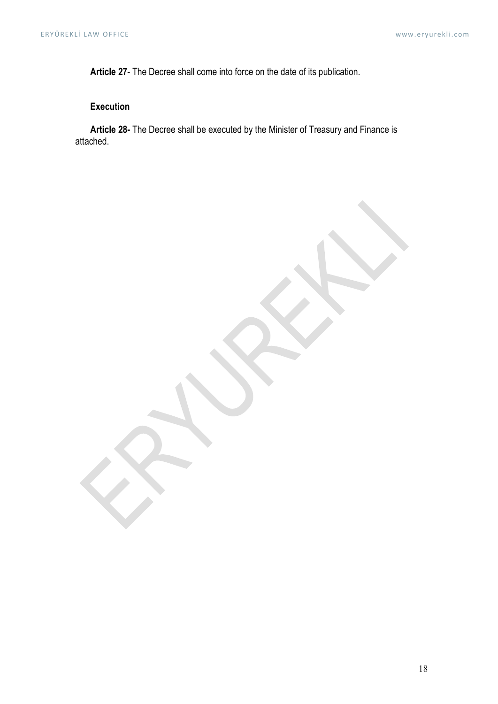Article 27- The Decree shall come into force on the date of its publication.

# Execution

Article 28- The Decree shall be executed by the Minister of Treasury and Finance is attached.